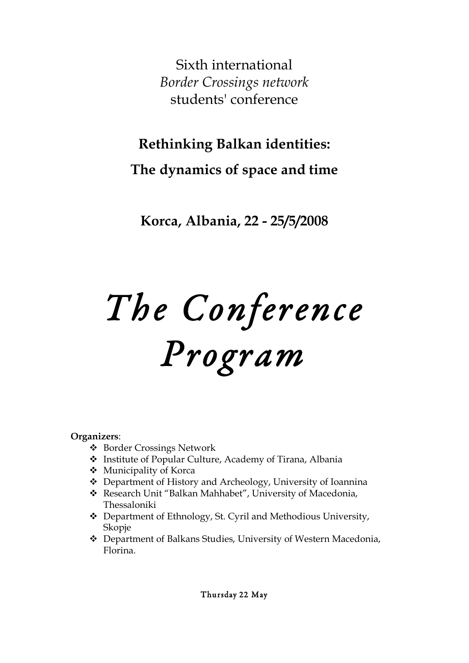Sixth international *Border Crossings network* students' conference

**Rethinking Balkan identities:** 

**The dynamics of space and time**

**Korca, Albania, 22 - 25/5/2008**

# *The Conference Program*

# **Organizers**:

- Border Crossings Network
- Institute of Popular Culture, Academy of Tirana, Albania
- Municipality of Korca
- Department of History and Archeology, University of Ioannina
- Research Unit "Balkan Mahhabet", University of Macedonia, Thessaloniki
- Department of Ethnology, St. Cyril and Methodious University, Skopje
- Department of Balkans Studies, University of Western Macedonia, Florina.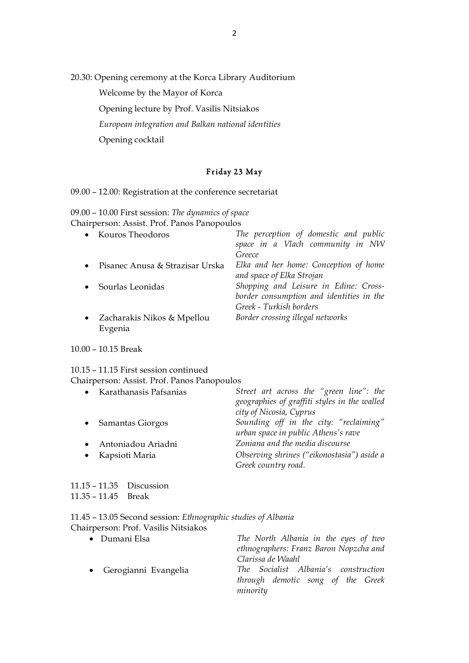20.30: Opening ceremony at the Korca Library Auditorium

Welcome by the Mayor of Korca

Opening lecture by Prof. Vasilis Nitsiakos

*European integration and Balkan national identities*

Opening cocktail

## Friday 23 May

### 09.00 – 12.00: Registration at the conference secretariat

09.00 – 10.00 First session: *The dynamics of space*  Chairperson: Assist. Prof. Panos Panopoulos

|           | • Kouros Theodoros                    | The perception of domestic and public<br>space in a Vlach community in NW<br>Greece                          |
|-----------|---------------------------------------|--------------------------------------------------------------------------------------------------------------|
|           | Pisanec Anusa & Strazisar Urska       | Elka and her home: Conception of home<br>and space of Elka Strojan                                           |
|           | Sourlas Leonidas                      | Shopping and Leisure in Edine: Cross-<br>border consumption and identities in the<br>Greek - Turkish borders |
| $\bullet$ | Zacharakis Nikos & Mpellou<br>Evgenia | Border crossing illegal networks                                                                             |

#### 10.00 – 10.15 Break

## 10.15 – 11.15 First session continued Chairperson: Assist. Prof. Panos Panopoulos

| • Karathanasis Pafsanias             | Street art across the "green line": the<br>geographies of graffiti styles in the walled                  |
|--------------------------------------|----------------------------------------------------------------------------------------------------------|
| Samantas Giorgos                     | city of Nicosia, Cyprus<br>Sounding off in the city: "reclaiming"<br>urban space in public Athens's rave |
| Antoniadou Ariadni<br>Kapsioti Maria | Zoniana and the media discourse<br>Observing shrines ("eikonostasia") aside a<br>Greek country road.     |

11.15 – 11.35 Discussion 11.35 – 11.45 Break

11.45 – 13.05 Second session: *Ethnographic studies of Albania* Chairperson: Prof. Vasilis Nitsiakos

| • Dumani Elsa          | The North Albania in the eyes of two<br>ethnographers: Franz Baron Nopzcha and<br>Clarissa de Waahl |
|------------------------|-----------------------------------------------------------------------------------------------------|
| • Gerogianni Evangelia | The Socialist Albania's construction<br>through demotic song of the Greek<br>minority               |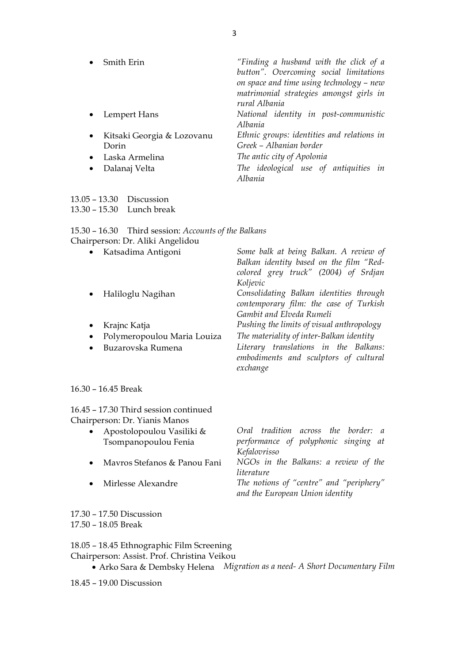| Smith Erin                   | "Finding a husband with the click of a<br>button". Overcoming social limitations<br>on space and time using technology - new<br>matrimonial strategies amongst girls in<br>rural Albania |
|------------------------------|------------------------------------------------------------------------------------------------------------------------------------------------------------------------------------------|
| • Lempert Hans               | National identity in post-communistic<br>Albania                                                                                                                                         |
| • Kitsaki Georgia & Lozovanu | Ethnic groups: identities and relations in                                                                                                                                               |
| Dorin                        | Greek - Albanian border                                                                                                                                                                  |
| • Laska Armelina             | The antic city of Apolonia                                                                                                                                                               |
| Dalanaj Velta<br>$\bullet$   | The ideological use of antiquities in<br>Albania                                                                                                                                         |

| 13.05 – 13.30 Discussion |                               |
|--------------------------|-------------------------------|
|                          | 13.30 – 15.30     Lunch break |

| 15.30 - 16.30 Third session: Accounts of the Balkans |  |
|------------------------------------------------------|--|
| Chairperson: Dr. Aliki Angelidou                     |  |

| $\bullet$ | Katsadima Antigoni          | Some balk at being Balkan. A review of    |
|-----------|-----------------------------|-------------------------------------------|
|           |                             | Balkan identity based on the film "Red-   |
|           |                             | colored grey truck" (2004) of Srdjan      |
|           |                             | Koljevic                                  |
|           | Haliloglu Nagihan           | Consolidating Balkan identities through   |
|           |                             | contemporary film: the case of Turkish    |
|           |                             | Gambit and Elveda Rumeli                  |
|           | Krajnc Katja                | Pushing the limits of visual anthropology |
| $\bullet$ | Polymeropoulou Maria Louiza | The materiality of inter-Balkan identity  |
|           | Buzarovska Rumena           | Literary translations in the Balkans:     |
|           |                             | embodiments and sculptors of cultural     |
|           |                             | exchange                                  |
|           |                             |                                           |

16.30 – 16.45 Break

16.45 – 17.30 Third session continued Chairperson: Dr. Yianis Manos

| $\bullet$ | Apostolopoulou Vasiliki &    | Oral tradition across the border: a     |  |  |  |  |
|-----------|------------------------------|-----------------------------------------|--|--|--|--|
|           | Tsompanopoulou Fenia         | performance of polyphonic singing at    |  |  |  |  |
|           |                              | Kefalovrisso                            |  |  |  |  |
| $\bullet$ | Mavros Stefanos & Panou Fani | NGOs in the Balkans: a review of the    |  |  |  |  |
|           |                              | literature                              |  |  |  |  |
| $\bullet$ | Mirlesse Alexandre           | The notions of "centre" and "periphery" |  |  |  |  |
|           |                              | and the European Union identity         |  |  |  |  |

17.30 – 17.50 Discussion 17.50 – 18.05 Break

18.05 – 18.45 Ethnographic Film Screening

Chairperson: Assist. Prof. Christina Veikou

• Arko Sara & Dembsky Helena *Migration as a need- A Short Documentary Film*

18.45 – 19.00 Discussion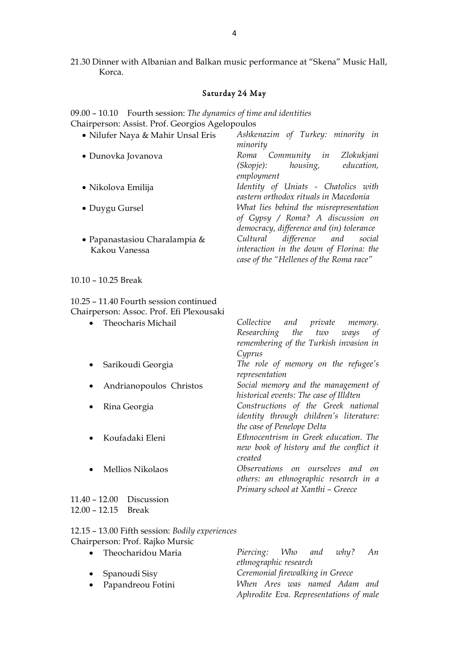# Saturday 24 May

09.00 – 10.10 Fourth session: *The dynamics of time and identities* Chairperson: Assist. Prof. Georgios Agelopoulos

| • Nilufer Naya & Mahir Unsal Eris              | Ashkenazim of Turkey: minority in<br>minority                                                                              |
|------------------------------------------------|----------------------------------------------------------------------------------------------------------------------------|
| • Dunovka Jovanova                             | Zlokukjani<br>Community in<br>Roma<br>(Skopje): housing,<br>education,<br>employment                                       |
| • Nikolova Emilija                             | Identity of Uniats - Chatolics with<br>eastern orthodox rituals in Macedonia                                               |
| • Duygu Gursel                                 | What lies behind the misrepresentation<br>of Gypsy / Roma? A discussion on<br>democracy, difference and (in) tolerance     |
| • Papanastasiou Charalampia &<br>Kakou Vanessa | difference and<br>Cultural<br>social<br>interaction in the down of Florina: the<br>case of the "Hellenes of the Roma race" |

10.10 – 10.25 Break

10.25 – 11.40 Fourth session continued Chairperson: Assoc. Prof. Efi Plexousaki

| Theocharis Michail              | Collective<br><i>private memory</i> .<br>and |
|---------------------------------|----------------------------------------------|
|                                 | Researching the two ways<br>$\sigma f$       |
|                                 | remembering of the Turkish invasion in       |
|                                 | Cyprus                                       |
| Sarikoudi Georgia               | The role of memory on the refugee's          |
|                                 | representation                               |
| Andrianopoulos Christos         | Social memory and the management of          |
|                                 | historical events: The case of Illdten       |
| Rina Georgia                    | Constructions of the Greek national          |
|                                 | identity through children's literature:      |
|                                 | the case of Penelope Delta                   |
| Koufadaki Eleni                 | Ethnocentrism in Greek education. The        |
|                                 | new book of history and the conflict it      |
|                                 | created                                      |
| <b>Mellios Nikolaos</b>         | Observations on ourselves and<br>$\Omega$    |
|                                 | others: an ethnographic research in a        |
|                                 | Primary school at Xanthi - Greece            |
| $11.40 - 12.00$ Discussion      |                                              |
| $12.00 - 12.15$<br><b>Break</b> |                                              |
|                                 |                                              |

| 12.15 - 13.00 Fifth session: Bodily experiences |  |
|-------------------------------------------------|--|
| Chairperson: Prof. Rajko Mursic                 |  |

| • Theocharidou Maria    |                                        |  |  | Piercing: Who and            | why? | An |
|-------------------------|----------------------------------------|--|--|------------------------------|------|----|
|                         | ethnographic research                  |  |  |                              |      |    |
| $\bullet$ Spanoudi Sisy | Ceremonial firewalking in Greece       |  |  |                              |      |    |
| • Papandreou Fotini     |                                        |  |  | When Ares was named Adam and |      |    |
|                         | Aphrodite Eva. Representations of male |  |  |                              |      |    |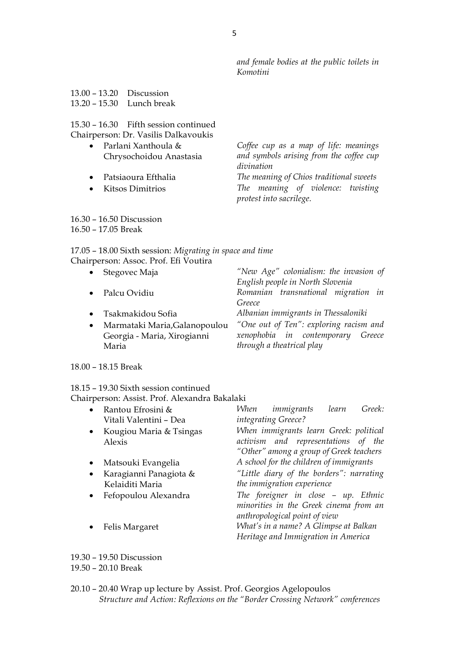*and female bodies at the public toilets in Komotini*

| 13.00 – 13.20 Discussion      |  |
|-------------------------------|--|
| 13.20 – 15.30     Lunch break |  |

## 15.30 – 16.30 Fifth session continued Chairperson: Dr. Vasilis Dalkavoukis

- Parlani Xanthoula & Chrysochoidou Anastasia
- 
- 

*Coffee cup as a map of life: meanings and symbols arising from the coffee cup divination*

• Patsiaoura Efthalia *The meaning of Chios traditional sweets* • Kitsos Dimitrios *The meaning of violence: twisting protest into sacrilege.*

- 16.30 16.50 Discussion
- 16.50 17.05 Break

17.05 – 18.00 Sixth session: *Migrating in space and time*

| Chairperson: Assoc. Prof. Efi Voutira      |                                        |  |
|--------------------------------------------|----------------------------------------|--|
| Stegovec Maja<br>$\bullet$                 | "New Age" colonialism: the invasion of |  |
|                                            | English people in North Slovenia       |  |
| • Palcu Ovidiu                             | Romanian transnational migration in    |  |
|                                            | Greece                                 |  |
| Tsakmakidou Sofia<br>$\bullet$             | Albanian immigrants in Thessaloniki    |  |
| Marmataki Maria, Galanopoulou<br>$\bullet$ | "One out of Ten": exploring racism and |  |
| Georgia - Maria, Xirogianni                | xenophobia in contemporary Greece      |  |
| Maria                                      | through a theatrical play              |  |
|                                            |                                        |  |

18.00 – 18.15 Break

# 18.15 – 19.30 Sixth session continued

Chairperson: Assist. Prof. Alexandra Bakalaki

|           | Rantou Efrosini &       | When | immigrants                               | learn | Greek: |
|-----------|-------------------------|------|------------------------------------------|-------|--------|
|           | Vitali Valentini - Dea  |      | integrating Greece?                      |       |        |
| $\bullet$ | Kougiou Maria & Tsingas |      | When immigrants learn Greek: political   |       |        |
|           | Alexis                  |      | activism and representations of the      |       |        |
|           |                         |      | "Other" among a group of Greek teachers  |       |        |
| $\bullet$ | Matsouki Evangelia      |      | A school for the children of immigrants  |       |        |
| $\bullet$ | Karagianni Panagiota &  |      | "Little diary of the borders": narrating |       |        |
|           | Kelaiditi Maria         |      | the immigration experience               |       |        |
|           | Fefopoulou Alexandra    |      | The foreigner in close – up. Ethnic      |       |        |
|           |                         |      | minorities in the Greek cinema from an   |       |        |
|           |                         |      | anthropological point of view            |       |        |
|           | Felis Margaret          |      | What's in a name? A Glimpse at Balkan    |       |        |
|           |                         |      | Heritage and Immigration in America      |       |        |

19.30 – 19.50 Discussion

19.50 – 20.10 Break

20.10 – 20.40 Wrap up lecture by Assist. Prof. Georgios Agelopoulos *Structure and Action: Reflexions on the "Border Crossing Network" conferences*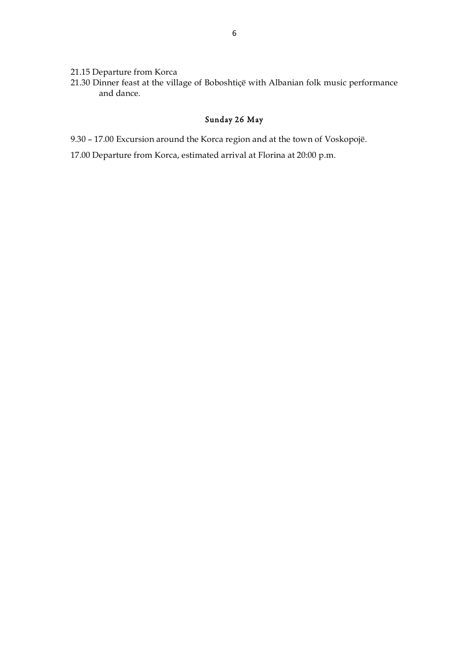- 21.15 Departure from Korca
- 21.30 Dinner feast at the village of Boboshtiçë with Albanian folk music performance and dance.

# Sunday 26 May

- 9.30 17.00 Excursion around the Korca region and at the town of Voskopojë.
- 17.00 Departure from Korca, estimated arrival at Florina at 20:00 p.m.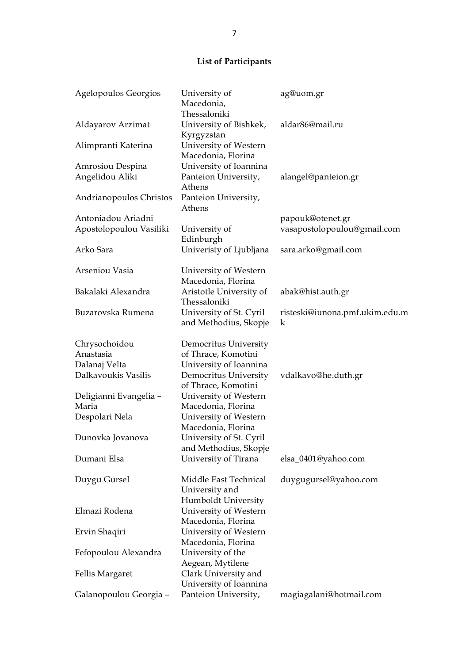# **List of Participants**

| Agelopoulos Georgios            | University of<br>Macedonia,                                    | ag@uom.gr                                 |
|---------------------------------|----------------------------------------------------------------|-------------------------------------------|
| Aldayarov Arzimat               | Thessaloniki<br>University of Bishkek,                         | aldar86@mail.ru                           |
| Alimpranti Katerina             | Kyrgyzstan<br>University of Western<br>Macedonia, Florina      |                                           |
| Amrosiou Despina                | University of Ioannina                                         |                                           |
| Angelidou Aliki                 | Panteion University,<br>Athens                                 | alangel@panteion.gr                       |
| Andrianopoulos Christos         | Panteion University,<br>Athens                                 |                                           |
| Antoniadou Ariadni              |                                                                | papouk@otenet.gr                          |
| Apostolopoulou Vasiliki         | University of<br>Edinburgh                                     | vasapostolopoulou@gmail.com               |
| Arko Sara                       | Univeristy of Ljubljana                                        | sara.arko@gmail.com                       |
| Arseniou Vasia                  | University of Western<br>Macedonia, Florina                    |                                           |
| Bakalaki Alexandra              | Aristotle University of<br>Thessaloniki                        | abak@hist.auth.gr                         |
| Buzarovska Rumena               | University of St. Cyril<br>and Methodius, Skopje               | risteski@iunona.pmf.ukim.edu.m<br>$\bf k$ |
| Chrysochoidou                   | Democritus University                                          |                                           |
| Anastasia                       | of Thrace, Komotini                                            |                                           |
| Dalanaj Velta                   | University of Ioannina                                         |                                           |
| Dalkavoukis Vasilis             | Democritus University<br>of Thrace, Komotini                   | vdalkavo@he.duth.gr                       |
| Deligianni Evangelia -<br>Maria | University of Western<br>Macedonia, Florina                    |                                           |
| Despolari Nela                  | University of Western<br>Macedonia, Florina                    |                                           |
| Dunovka Jovanova                | University of St. Cyril<br>and Methodius, Skopje               |                                           |
| Dumani Elsa                     | University of Tirana                                           | elsa_0401@yahoo.com                       |
| Duygu Gursel                    | Middle East Technical<br>University and<br>Humboldt University | duygugursel@yahoo.com                     |
| Elmazi Rodena                   | University of Western<br>Macedonia, Florina                    |                                           |
| Ervin Shaqiri                   | University of Western<br>Macedonia, Florina                    |                                           |
| Fefopoulou Alexandra            | University of the<br>Aegean, Mytilene                          |                                           |
| Fellis Margaret                 | Clark University and<br>University of Ioannina                 |                                           |
| Galanopoulou Georgia -          | Panteion University,                                           | magiagalani@hotmail.com                   |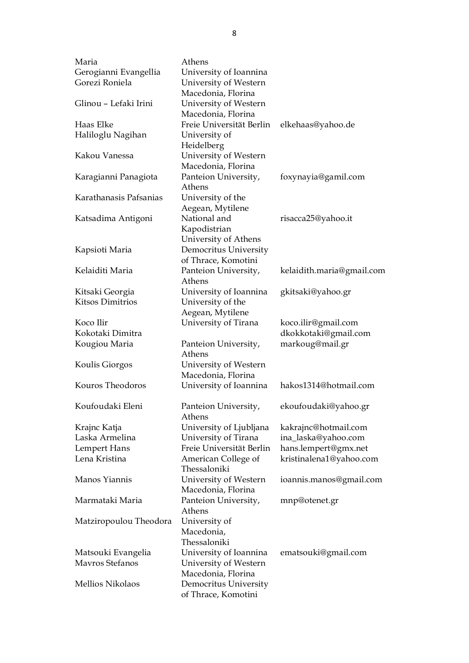| Gerogianni Evangellia<br>University of Ioannina                      |  |
|----------------------------------------------------------------------|--|
|                                                                      |  |
| Gorezi Roniela<br>University of Western                              |  |
| Macedonia, Florina                                                   |  |
| Glinou - Lefaki Irini<br>University of Western                       |  |
| Macedonia, Florina                                                   |  |
| Haas Elke<br>Freie Universität Berlin<br>elkehaas@yahoo.de           |  |
| Haliloglu Nagihan<br>University of                                   |  |
| Heidelberg                                                           |  |
| Kakou Vanessa                                                        |  |
| University of Western                                                |  |
| Macedonia, Florina                                                   |  |
| Panteion University,<br>foxynayia@gamil.com<br>Karagianni Panagiota  |  |
| Athens                                                               |  |
| Karathanasis Pafsanias<br>University of the                          |  |
| Aegean, Mytilene                                                     |  |
| National and<br>Katsadima Antigoni<br>risacca25@yahoo.it             |  |
| Kapodistrian                                                         |  |
| University of Athens                                                 |  |
| Democritus University<br>Kapsioti Maria                              |  |
| of Thrace, Komotini                                                  |  |
| Kelaiditi Maria<br>Panteion University,<br>kelaidith.maria@gmail.com |  |
| Athens                                                               |  |
| University of Ioannina<br>Kitsaki Georgia<br>gkitsaki@yahoo.gr       |  |
| <b>Kitsos Dimitrios</b><br>University of the                         |  |
| Aegean, Mytilene                                                     |  |
| Koco Ilir<br>University of Tirana<br>koco.ilir@gmail.com             |  |
| Kokotaki Dimitra<br>dkokkotaki@gmail.com                             |  |
| markoug@mail.gr<br>Kougiou Maria<br>Panteion University,             |  |
| Athens                                                               |  |
| University of Western<br>Koulis Giorgos                              |  |
| Macedonia, Florina                                                   |  |
| Kouros Theodoros<br>hakos1314@hotmail.com                            |  |
| University of Ioannina                                               |  |
|                                                                      |  |
| ekoufoudaki@yahoo.gr<br>Koufoudaki Eleni<br>Panteion University,     |  |
| Athens                                                               |  |
| University of Ljubljana<br>kakrajnc@hotmail.com<br>Krajnc Katja      |  |
| Laska Armelina<br>ina_laska@yahoo.com<br>University of Tirana        |  |
| Freie Universität Berlin<br>Lempert Hans<br>hans.lempert@gmx.net     |  |
| Lena Kristina<br>American College of<br>kristinalena1@yahoo.com      |  |
| Thessaloniki                                                         |  |
| Manos Yiannis<br>University of Western<br>ioannis.manos@gmail.com    |  |
| Macedonia, Florina                                                   |  |
| Marmataki Maria<br>Panteion University,<br>mnp@otenet.gr             |  |
| Athens                                                               |  |
| Matziropoulou Theodora<br>University of                              |  |
| Macedonia,                                                           |  |
| Thessaloniki                                                         |  |
|                                                                      |  |
| ematsouki@gmail.com                                                  |  |
| University of Ioannina<br>Matsouki Evangelia<br>Mavros Stefanos      |  |
| University of Western                                                |  |
| Macedonia, Florina<br>Mellios Nikolaos<br>Democritus University      |  |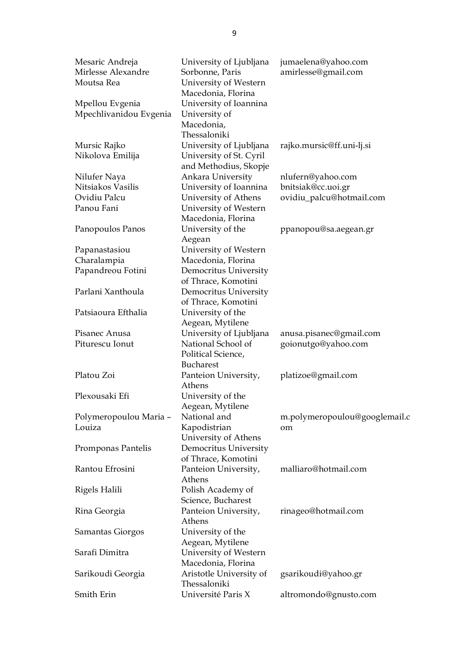| Mesaric Andreja<br>Mirlesse Alexandre<br>Moutsa Rea | University of Ljubljana<br>Sorbonne, Paris<br>University of Western                         | jumaelena@yahoo.com<br>amirlesse@gmail.com |
|-----------------------------------------------------|---------------------------------------------------------------------------------------------|--------------------------------------------|
| Mpellou Evgenia<br>Mpechlivanidou Evgenia           | Macedonia, Florina<br>University of Ioannina<br>University of<br>Macedonia,<br>Thessaloniki |                                            |
| Mursic Rajko                                        | University of Ljubljana                                                                     | rajko.mursic@ff.uni-lj.si                  |
| Nikolova Emilija                                    | University of St. Cyril<br>and Methodius, Skopje                                            |                                            |
| Nilufer Naya                                        | Ankara University                                                                           | nlufern@yahoo.com                          |
| Nitsiakos Vasilis                                   | University of Ioannina                                                                      | bnitsiak@cc.uoi.gr                         |
| Ovidiu Palcu                                        | University of Athens                                                                        | ovidiu_palcu@hotmail.com                   |
| Panou Fani                                          | University of Western<br>Macedonia, Florina                                                 |                                            |
| Panopoulos Panos                                    | University of the<br>Aegean                                                                 | ppanopou@sa.aegean.gr                      |
| Papanastasiou                                       | University of Western                                                                       |                                            |
| Charalampia                                         | Macedonia, Florina                                                                          |                                            |
| Papandreou Fotini                                   | Democritus University<br>of Thrace, Komotini                                                |                                            |
| Parlani Xanthoula                                   | Democritus University<br>of Thrace, Komotini                                                |                                            |
| Patsiaoura Efthalia                                 | University of the<br>Aegean, Mytilene                                                       |                                            |
| Pisanec Anusa                                       | University of Ljubljana                                                                     | anusa.pisanec@gmail.com                    |
| Piturescu Ionut                                     | National School of<br>Political Science,                                                    | goionutgo@yahoo.com                        |
| Platou Zoi                                          | <b>Bucharest</b><br>Panteion University,<br>Athens                                          | platizoe@gmail.com                         |
| Plexousaki Efi                                      | University of the<br>Aegean, Mytilene                                                       |                                            |
| Polymeropoulou Maria -                              | National and                                                                                | m.polymeropoulou@googlemail.c              |
| Louiza                                              | Kapodistrian<br>University of Athens                                                        | om                                         |
| Promponas Pantelis                                  | Democritus University<br>of Thrace, Komotini                                                |                                            |
| Rantou Efrosini                                     | Panteion University,<br>Athens                                                              | malliaro@hotmail.com                       |
| Rigels Halili                                       | Polish Academy of<br>Science, Bucharest                                                     |                                            |
| Rina Georgia                                        | Panteion University,<br>Athens                                                              | rinageo@hotmail.com                        |
| Samantas Giorgos                                    | University of the<br>Aegean, Mytilene                                                       |                                            |
| Sarafi Dimitra                                      | University of Western<br>Macedonia, Florina                                                 |                                            |
| Sarikoudi Georgia                                   | Aristotle University of<br>Thessaloniki                                                     | gsarikoudi@yahoo.gr                        |
| Smith Erin                                          | Université Paris X                                                                          | altromondo@gnusto.com                      |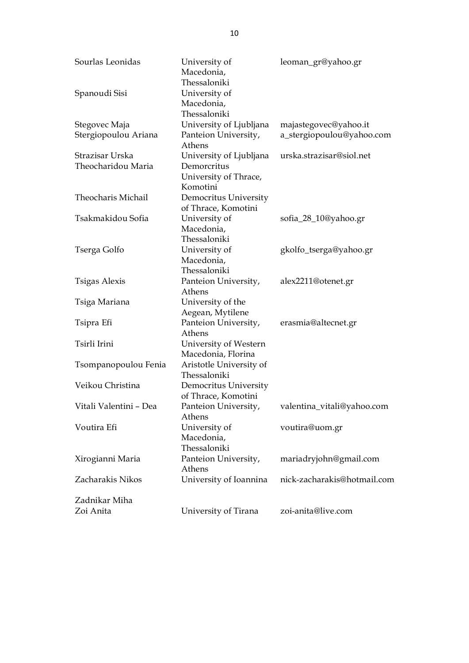| Sourlas Leonidas       | University of<br>Macedonia,                                 | leoman_gr@yahoo.gr          |
|------------------------|-------------------------------------------------------------|-----------------------------|
| Spanoudi Sisi          | Thessaloniki<br>University of<br>Macedonia,<br>Thessaloniki |                             |
| Stegovec Maja          | University of Ljubljana                                     | majastegovec@yahoo.it       |
| Stergiopoulou Ariana   | Panteion University,<br>Athens                              | a_stergiopoulou@yahoo.com   |
| Strazisar Urska        | University of Ljubljana                                     | urska.strazisar@siol.net    |
| Theocharidou Maria     | Demorcritus<br>University of Thrace,<br>Komotini            |                             |
| Theocharis Michail     | Democritus University<br>of Thrace, Komotini                |                             |
| Tsakmakidou Sofia      | University of<br>Macedonia,<br>Thessaloniki                 | sofia_28_10@yahoo.gr        |
| Tserga Golfo           | University of<br>Macedonia,<br>Thessaloniki                 | gkolfo_tserga@yahoo.gr      |
| Tsigas Alexis          | Panteion University,<br>Athens                              | alex2211@otenet.gr          |
| Tsiga Mariana          | University of the<br>Aegean, Mytilene                       |                             |
| Tsipra Efi             | Panteion University,<br>Athens                              | erasmia@altecnet.gr         |
| Tsirli Irini           | University of Western<br>Macedonia, Florina                 |                             |
| Tsompanopoulou Fenia   | Aristotle University of<br>Thessaloniki                     |                             |
| Veikou Christina       | Democritus University<br>of Thrace, Komotini                |                             |
| Vitali Valentini – Dea | Panteion University,<br>Athens                              | valentina_vitali@yahoo.com  |
| Voutira Efi            | University of<br>Macedonia,<br>Thessaloniki                 | voutira@uom.gr              |
| Xirogianni Maria       | Panteion University,<br>Athens                              | mariadryjohn@gmail.com      |
| Zacharakis Nikos       | University of Ioannina                                      | nick-zacharakis@hotmail.com |
| Zadnikar Miha          |                                                             |                             |
| Zoi Anita              | University of Tirana                                        | zoi-anita@live.com          |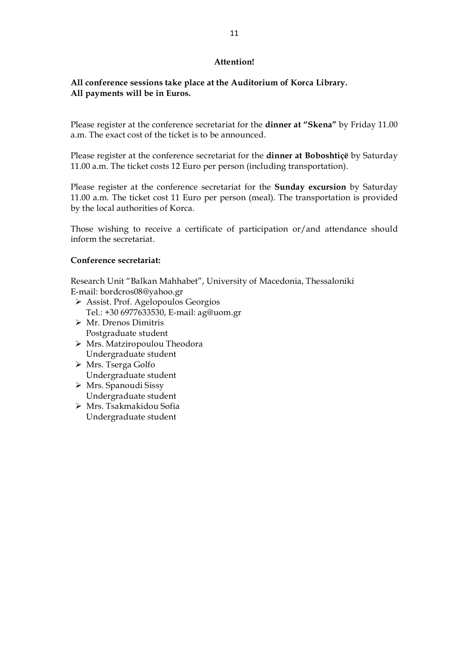## **Attention!**

## **All conference sessions take place at the Auditorium of Korca Library. All payments will be in Euros.**

Please register at the conference secretariat for the **dinner at "Skena"** by Friday 11.00 a.m. The exact cost of the ticket is to be announced.

Please register at the conference secretariat for the **dinner at Boboshtiçë** by Saturday 11.00 a.m. The ticket costs 12 Euro per person (including transportation).

Please register at the conference secretariat for the **Sunday excursion** by Saturday 11.00 a.m. The ticket cost 11 Euro per person (meal). The transportation is provided by the local authorities of Korca.

Those wishing to receive a certificate of participation or/and attendance should inform the secretariat.

#### **Conference secretariat:**

Research Unit "Balkan Mahhabet", University of Macedonia, Thessaloniki E-mail: bordcros08@yahoo.gr

- Assist. Prof. Agelopoulos Georgios Tel.: +30 6977633530, E-mail: ag@uom.gr
- Mr. Drenos Dimitris Postgraduate student
- Mrs. Matziropoulou Theodora Undergraduate student
- Mrs. Tserga Golfo Undergraduate student
- Mrs. Spanoudi Sissy Undergraduate student
- Mrs. Tsakmakidou Sofia Undergraduate student